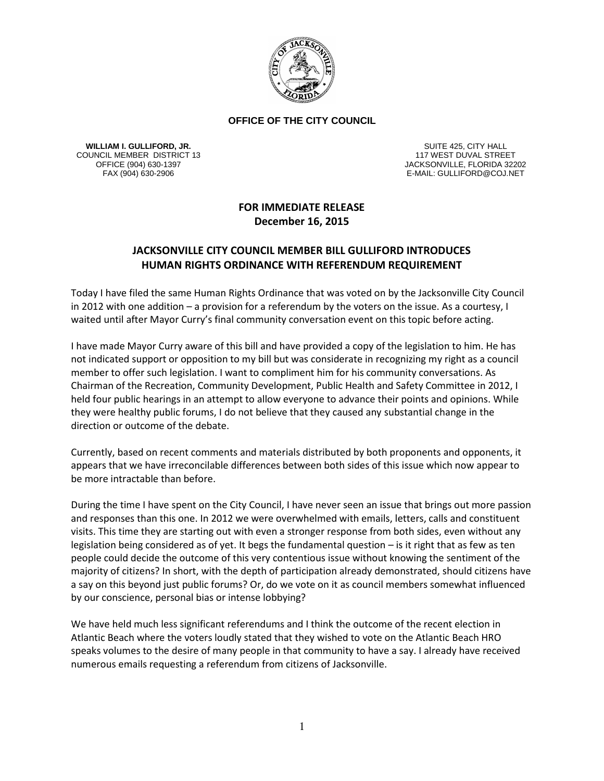

## **OFFICE OF THE CITY COUNCIL**

**WILLIAM I. GULLIFORD, JR.** COUNCIL MEMBER DISTRICT 13

SUITE 425, CITY HALL 117 WEST DUVAL STREET OFFICE (904) 630-1397<br>FAX (904) 630-2906 FAX (904) 630-2906 FAX (904) 630-2906 E-MAIL: GULLIFORD@COJ.NET

## **FOR IMMEDIATE RELEASE December 16, 2015**

## **JACKSONVILLE CITY COUNCIL MEMBER BILL GULLIFORD INTRODUCES HUMAN RIGHTS ORDINANCE WITH REFERENDUM REQUIREMENT**

Today I have filed the same Human Rights Ordinance that was voted on by the Jacksonville City Council in 2012 with one addition – a provision for a referendum by the voters on the issue. As a courtesy, I waited until after Mayor Curry's final community conversation event on this topic before acting.

I have made Mayor Curry aware of this bill and have provided a copy of the legislation to him. He has not indicated support or opposition to my bill but was considerate in recognizing my right as a council member to offer such legislation. I want to compliment him for his community conversations. As Chairman of the Recreation, Community Development, Public Health and Safety Committee in 2012, I held four public hearings in an attempt to allow everyone to advance their points and opinions. While they were healthy public forums, I do not believe that they caused any substantial change in the direction or outcome of the debate.

Currently, based on recent comments and materials distributed by both proponents and opponents, it appears that we have irreconcilable differences between both sides of this issue which now appear to be more intractable than before.

During the time I have spent on the City Council, I have never seen an issue that brings out more passion and responses than this one. In 2012 we were overwhelmed with emails, letters, calls and constituent visits. This time they are starting out with even a stronger response from both sides, even without any legislation being considered as of yet. It begs the fundamental question – is it right that as few as ten people could decide the outcome of this very contentious issue without knowing the sentiment of the majority of citizens? In short, with the depth of participation already demonstrated, should citizens have a say on this beyond just public forums? Or, do we vote on it as council members somewhat influenced by our conscience, personal bias or intense lobbying?

We have held much less significant referendums and I think the outcome of the recent election in Atlantic Beach where the voters loudly stated that they wished to vote on the Atlantic Beach HRO speaks volumes to the desire of many people in that community to have a say. I already have received numerous emails requesting a referendum from citizens of Jacksonville.